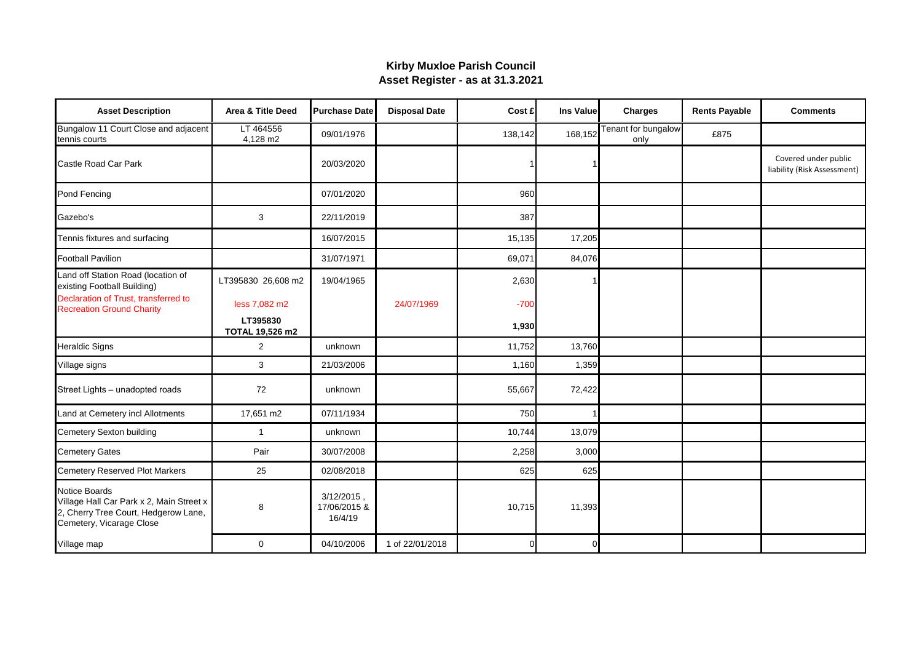## **Kirby Muxloe Parish Council Asset Register - as at 31.3.2021**

| <b>Asset Description</b>                                                                                                             | Area & Title Deed           | <b>Purchase Date</b>                     | <b>Disposal Date</b> | Cost £  | Ins Value | <b>Charges</b>              | <b>Rents Payable</b> | <b>Comments</b>                                     |
|--------------------------------------------------------------------------------------------------------------------------------------|-----------------------------|------------------------------------------|----------------------|---------|-----------|-----------------------------|----------------------|-----------------------------------------------------|
| Bungalow 11 Court Close and adjacent<br>tennis courts                                                                                | LT 464556<br>4,128 m2       | 09/01/1976                               |                      | 138,142 | 168,152   | Tenant for bungalow<br>only | £875                 |                                                     |
| Castle Road Car Park                                                                                                                 |                             | 20/03/2020                               |                      |         |           |                             |                      | Covered under public<br>liability (Risk Assessment) |
| Pond Fencing                                                                                                                         |                             | 07/01/2020                               |                      | 960     |           |                             |                      |                                                     |
| Gazebo's                                                                                                                             | 3                           | 22/11/2019                               |                      | 387     |           |                             |                      |                                                     |
| Tennis fixtures and surfacing                                                                                                        |                             | 16/07/2015                               |                      | 15,135  | 17,205    |                             |                      |                                                     |
| <b>Football Pavilion</b>                                                                                                             |                             | 31/07/1971                               |                      | 69,071  | 84,076    |                             |                      |                                                     |
| Land off Station Road (location of<br>existing Football Building)                                                                    | LT395830 26,608 m2          | 19/04/1965                               |                      | 2,630   |           |                             |                      |                                                     |
| Declaration of Trust, transferred to<br><b>Recreation Ground Charity</b>                                                             | less 7,082 m2               |                                          | 24/07/1969           | $-700$  |           |                             |                      |                                                     |
|                                                                                                                                      | LT395830<br>TOTAL 19,526 m2 |                                          |                      | 1,930   |           |                             |                      |                                                     |
| <b>Heraldic Signs</b>                                                                                                                | $\overline{2}$              | unknown                                  |                      | 11,752  | 13,760    |                             |                      |                                                     |
| Village signs                                                                                                                        | 3                           | 21/03/2006                               |                      | 1,160   | 1,359     |                             |                      |                                                     |
| Street Lights - unadopted roads                                                                                                      | 72                          | unknown                                  |                      | 55,667  | 72,422    |                             |                      |                                                     |
| Land at Cemetery incl Allotments                                                                                                     | 17,651 m2                   | 07/11/1934                               |                      | 750     |           |                             |                      |                                                     |
| Cemetery Sexton building                                                                                                             | $\mathbf{1}$                | unknown                                  |                      | 10,744  | 13,079    |                             |                      |                                                     |
| <b>Cemetery Gates</b>                                                                                                                | Pair                        | 30/07/2008                               |                      | 2,258   | 3,000     |                             |                      |                                                     |
| <b>Cemetery Reserved Plot Markers</b>                                                                                                | 25                          | 02/08/2018                               |                      | 625     | 625       |                             |                      |                                                     |
| <b>Notice Boards</b><br>Village Hall Car Park x 2, Main Street x<br>2, Cherry Tree Court, Hedgerow Lane,<br>Cemetery, Vicarage Close | 8                           | $3/12/2015$ .<br>17/06/2015 &<br>16/4/19 |                      | 10,715  | 11,393    |                             |                      |                                                     |
| Village map                                                                                                                          | 0                           | 04/10/2006                               | 1 of 22/01/2018      |         | $\Omega$  |                             |                      |                                                     |